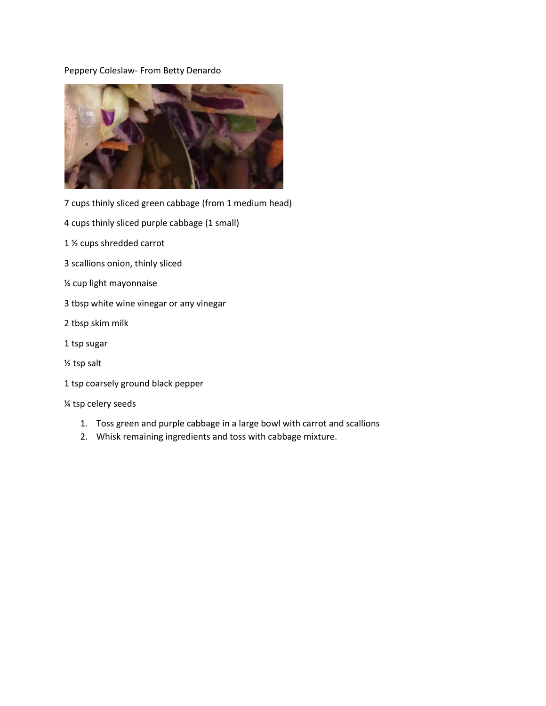## Peppery Coleslaw- From Betty Denardo



7 cups thinly sliced green cabbage (from 1 medium head)

- 4 cups thinly sliced purple cabbage (1 small)
- 1 ½ cups shredded carrot
- 3 scallions onion, thinly sliced
- ¼ cup light mayonnaise
- 3 tbsp white wine vinegar or any vinegar
- 2 tbsp skim milk
- 1 tsp sugar
- ½ tsp salt
- 1 tsp coarsely ground black pepper

## ¼ tsp celery seeds

- 1. Toss green and purple cabbage in a large bowl with carrot and scallions
- 2. Whisk remaining ingredients and toss with cabbage mixture.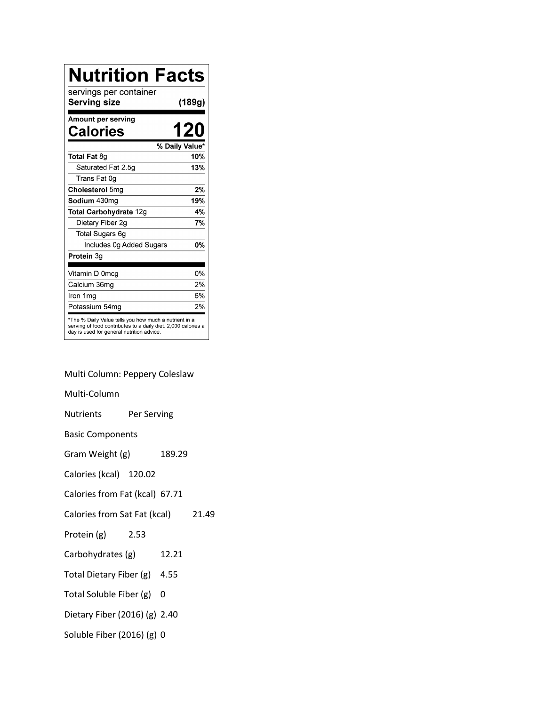| <b>Nutrition Facts</b>                                                                                                                                              |                |
|---------------------------------------------------------------------------------------------------------------------------------------------------------------------|----------------|
| servings per container<br><b>Serving size</b>                                                                                                                       | (189g)         |
| Amount per serving<br>Calories                                                                                                                                      | 120            |
|                                                                                                                                                                     | % Daily Value* |
| Total Fat 8g                                                                                                                                                        | 10%            |
| Saturated Fat 2.5g                                                                                                                                                  | 13%            |
| Trans Fat 0g                                                                                                                                                        |                |
| Cholesterol 5mg                                                                                                                                                     | 2%             |
| Sodium 430mg                                                                                                                                                        | 19%            |
| Total Carbohydrate 12g                                                                                                                                              | 4%             |
| Dietary Fiber 2g                                                                                                                                                    | 7%             |
| Total Sugars 6g                                                                                                                                                     |                |
| Includes 0g Added Sugars                                                                                                                                            | 0%             |
| Protein 3g                                                                                                                                                          |                |
| Vitamin D 0mcg                                                                                                                                                      | 0%             |
| Calcium 36mg                                                                                                                                                        | 2%             |
| Iron 1mg                                                                                                                                                            | 6%             |
| Potassium 54mq                                                                                                                                                      | 2%             |
| *The % Daily Value tells you how much a nutrient in a<br>serving of food contributes to a daily diet. 2,000 calories a<br>day is used for general nutrition advice. |                |

Multi Column: Peppery Coleslaw

Multi-Column

Nutrients Per Serving

Basic Components

Gram Weight (g) 189.29

Calories (kcal) 120.02

Calories from Fat (kcal) 67.71

Calories from Sat Fat (kcal) 21.49

- Protein (g) 2.53
- Carbohydrates (g) 12.21
- Total Dietary Fiber (g) 4.55
- Total Soluble Fiber (g) 0
- Dietary Fiber (2016) (g) 2.40
- Soluble Fiber (2016) (g) 0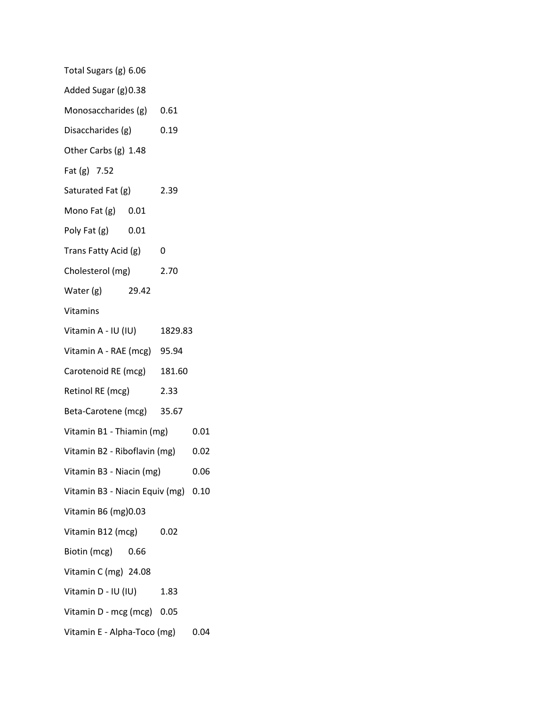| Total Sugars (g) 6.06               |  |        |      |
|-------------------------------------|--|--------|------|
| Added Sugar (g) 0.38                |  |        |      |
| Monosaccharides (g) 0.61            |  |        |      |
| Disaccharides (g)                   |  | 0.19   |      |
| Other Carbs (g) 1.48                |  |        |      |
| Fat (g) 7.52                        |  |        |      |
| Saturated Fat (g)                   |  | 2.39   |      |
| Mono Fat $(g)$ 0.01                 |  |        |      |
| Poly Fat $(g)$ 0.01                 |  |        |      |
| Trans Fatty Acid (g)                |  | 0      |      |
| Cholesterol (mg)                    |  | 2.70   |      |
| Water (g) 29.42                     |  |        |      |
| Vitamins                            |  |        |      |
| Vitamin A - IU (IU) 1829.83         |  |        |      |
| Vitamin A - RAE (mcg) 95.94         |  |        |      |
| Carotenoid RE (mcg)                 |  | 181.60 |      |
| Retinol RE (mcg)                    |  | 2.33   |      |
| Beta-Carotene (mcg) 35.67           |  |        |      |
| Vitamin B1 - Thiamin (mg)           |  | 0.01   |      |
| Vitamin B2 - Riboflavin (mg)        |  |        | 0.02 |
| Vitamin B3 - Niacin (mg)            |  | 0.06   |      |
| Vitamin B3 - Niacin Equiv (mg) 0.10 |  |        |      |
| Vitamin B6 (mg) 0.03                |  |        |      |
| Vitamin B12 (mcg)                   |  | 0.02   |      |
| Biotin (mcg) 0.66                   |  |        |      |
| Vitamin C (mg) 24.08                |  |        |      |
| Vitamin D - IU (IU)                 |  | 1.83   |      |
| Vitamin D - mcg (mcg) 0.05          |  |        |      |
| Vitamin E - Alpha-Toco (mg)         |  |        | 0.04 |